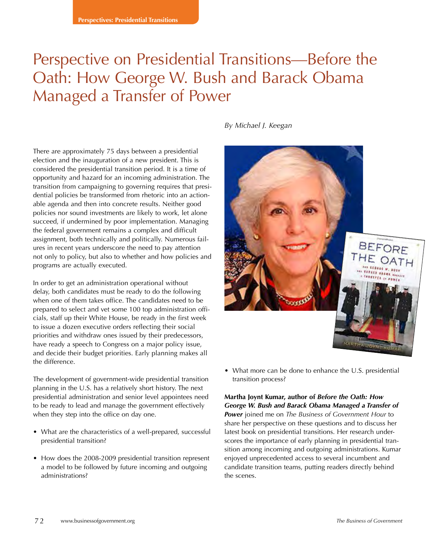# Perspective on Presidential Transitions—Before the Oath: How George W. Bush and Barack Obama Managed a Transfer of Power

*By Michael J. Keegan*

There are approximately 75 days between a presidential election and the inauguration of a new president. This is considered the presidential transition period. It is a time of opportunity and hazard for an incoming administration. The transition from campaigning to governing requires that presidential policies be transformed from rhetoric into an actionable agenda and then into concrete results. Neither good policies nor sound investments are likely to work, let alone succeed, if undermined by poor implementation. Managing the federal government remains a complex and difficult assignment, both technically and politically. Numerous failures in recent years underscore the need to pay attention not only to policy, but also to whether and how policies and programs are actually executed.

In order to get an administration operational without delay, both candidates must be ready to do the following when one of them takes office. The candidates need to be prepared to select and vet some 100 top administration officials, staff up their White House, be ready in the first week to issue a dozen executive orders reflecting their social priorities and withdraw ones issued by their predecessors, have ready a speech to Congress on a major policy issue, and decide their budget priorities. Early planning makes all the difference.

The development of government-wide presidential transition planning in the U.S. has a relatively short history. The next presidential administration and senior level appointees need to be ready to lead and manage the government effectively when they step into the office on day one.

- What are the characteristics of a well-prepared, successful presidential transition?
- How does the 2008-2009 presidential transition represent a model to be followed by future incoming and outgoing administrations?



• What more can be done to enhance the U.S. presidential transition process?

**Martha Joynt Kumar, author of** *Before the Oath: How George W. Bush and Barack Obama Managed a Transfer of Power* joined me on *The Business of Government Hour* to share her perspective on these questions and to discuss her latest book on presidential transitions. Her research underscores the importance of early planning in presidential transition among incoming and outgoing administrations. Kumar enjoyed unprecedented access to several incumbent and candidate transition teams, putting readers directly behind the scenes.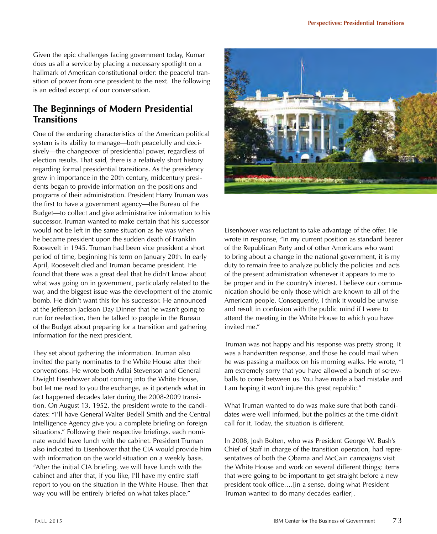Given the epic challenges facing government today, Kumar does us all a service by placing a necessary spotlight on a hallmark of American constitutional order: the peaceful transition of power from one president to the next. The following is an edited excerpt of our conversation.

# **The Beginnings of Modern Presidential Transitions**

One of the enduring characteristics of the American political system is its ability to manage—both peacefully and decisively—the changeover of presidential power, regardless of election results. That said, there is a relatively short history regarding formal presidential transitions. As the presidency grew in importance in the 20th century, midcentury presidents began to provide information on the positions and programs of their administration. President Harry Truman was the first to have a government agency—the Bureau of the Budget—to collect and give administrative information to his successor. Truman wanted to make certain that his successor would not be left in the same situation as he was when he became president upon the sudden death of Franklin Roosevelt in 1945. Truman had been vice president a short period of time, beginning his term on January 20th. In early April, Roosevelt died and Truman became president. He found that there was a great deal that he didn't know about what was going on in government, particularly related to the war, and the biggest issue was the development of the atomic bomb. He didn't want this for his successor. He announced at the Jefferson-Jackson Day Dinner that he wasn't going to run for reelection, then he talked to people in the Bureau of the Budget about preparing for a transition and gathering information for the next president.

They set about gathering the information. Truman also invited the party nominates to the White House after their conventions. He wrote both Adlai Stevenson and General Dwight Eisenhower about coming into the White House, but let me read to you the exchange, as it portends what in fact happened decades later during the 2008-2009 transition. On August 13, 1952, the president wrote to the candidates: "I'll have General Walter Bedell Smith and the Central Intelligence Agency give you a complete briefing on foreign situations." Following their respective briefings, each nominate would have lunch with the cabinet. President Truman also indicated to Eisenhower that the CIA would provide him with information on the world situation on a weekly basis. "After the initial CIA briefing, we will have lunch with the cabinet and after that, if you like, I'll have my entire staff report to you on the situation in the White House. Then that way you will be entirely briefed on what takes place."



Eisenhower was reluctant to take advantage of the offer. He wrote in response, "In my current position as standard bearer of the Republican Party and of other Americans who want to bring about a change in the national government, it is my duty to remain free to analyze publicly the policies and acts of the present administration whenever it appears to me to be proper and in the country's interest. I believe our communication should be only those which are known to all of the American people. Consequently, I think it would be unwise and result in confusion with the public mind if I were to attend the meeting in the White House to which you have invited me."

Truman was not happy and his response was pretty strong. It was a handwritten response, and those he could mail when he was passing a mailbox on his morning walks. He wrote, "I am extremely sorry that you have allowed a bunch of screwballs to come between us. You have made a bad mistake and I am hoping it won't injure this great republic."

What Truman wanted to do was make sure that both candidates were well informed, but the politics at the time didn't call for it. Today, the situation is different.

In 2008, Josh Bolten, who was President George W. Bush's Chief of Staff in charge of the transition operation, had representatives of both the Obama and McCain campaigns visit the White House and work on several different things; items that were going to be important to get straight before a new president took office….[in a sense, doing what President Truman wanted to do many decades earlier].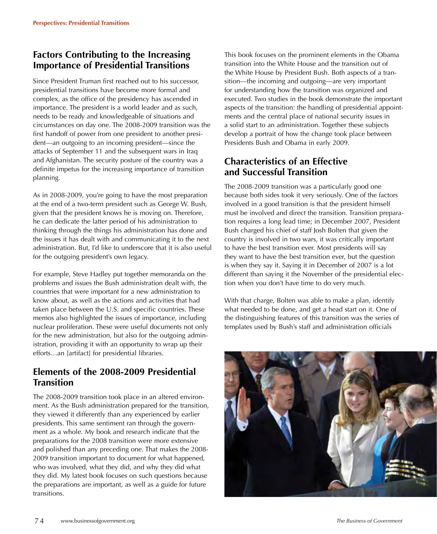# **Factors Contributing to the Increasing Importance of Presidential Transitions**

Since President Truman first reached out to his successor, presidential transitions have become more formal and complex, as the office of the presidency has ascended in importance. The president is a world leader and as such, needs to be ready and knowledgeable of situations and circumstances on day one. The 2008-2009 transition was the first handoff of power from one president to another president—an outgoing to an incoming president—since the attacks of September 11 and the subsequent wars in Iraq and Afghanistan. The security posture of the country was a definite impetus for the increasing importance of transition planning.

As in 2008-2009, you're going to have the most preparation at the end of a two-term president such as George W. Bush, given that the president knows he is moving on. Therefore, he can dedicate the latter period of his administration to thinking through the things his administration has done and the issues it has dealt with and communicating it to the next administration. But, I'd like to underscore that it is also useful for the outgoing president's own legacy.

For example, Steve Hadley put together memoranda on the problems and issues the Bush administration dealt with, the countries that were important for a new administration to know about, as well as the actions and activities that had taken place between the U.S. and specific countries. These memos also highlighted the issues of importance, including nuclear proliferation. These were useful documents not only for the new administration, but also for the outgoing administration, providing it with an opportunity to wrap up their efforts…an [artifact] for presidential libraries.

# **Elements of the 2008-2009 Presidential Transition**

The 2008-2009 transition took place in an altered environment. As the Bush administration prepared for the transition, they viewed it differently than any experienced by earlier presidents. This same sentiment ran through the government as a whole. My book and research indicate that the preparations for the 2008 transition were more extensive and polished than any preceding one. That makes the 2008- 2009 transition important to document for what happened, who was involved, what they did, and why they did what they did. My latest book focuses on such questions because the preparations are important, as well as a guide for future transitions.

This book focuses on the prominent elements in the Obama transition into the White House and the transition out of the White House by President Bush. Both aspects of a transition—the incoming and outgoing—are very important for understanding how the transition was organized and executed. Two studies in the book demonstrate the important aspects of the transition: the handling of presidential appointments and the central place of national security issues in a solid start to an administration. Together these subjects develop a portrait of how the change took place between Presidents Bush and Obama in early 2009.

# **Characteristics of an Effective and Successful Transition**

The 2008-2009 transition was a particularly good one because both sides took it very seriously. One of the factors involved in a good transition is that the president himself must be involved and direct the transition. Transition preparation requires a long lead time; in December 2007, President Bush charged his chief of staff Josh Bolten that given the country is involved in two wars, it was critically important to have the best transition ever. Most presidents will say they want to have the best transition ever, but the question is when they say it. Saying it in December of 2007 is a lot different than saying it the November of the presidential election when you don't have time to do very much.

With that charge, Bolten was able to make a plan, identify what needed to be done, and get a head start on it. One of the distinguishing features of this transition was the series of templates used by Bush's staff and administration officials

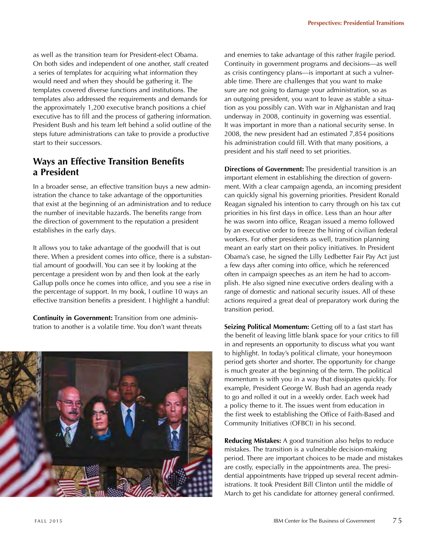as well as the transition team for President-elect Obama. On both sides and independent of one another, staff created a series of templates for acquiring what information they would need and when they should be gathering it. The templates covered diverse functions and institutions. The templates also addressed the requirements and demands for the approximately 1,200 executive branch positions a chief executive has to fill and the process of gathering information. President Bush and his team left behind a solid outline of the steps future administrations can take to provide a productive start to their successors.

# **Ways an Effective Transition Benefits a President**

In a broader sense, an effective transition buys a new administration the chance to take advantage of the opportunities that exist at the beginning of an administration and to reduce the number of inevitable hazards. The benefits range from the direction of government to the reputation a president establishes in the early days.

It allows you to take advantage of the goodwill that is out there. When a president comes into office, there is a substantial amount of goodwill. You can see it by looking at the percentage a president won by and then look at the early Gallup polls once he comes into office, and you see a rise in the percentage of support. In my book, I outline 10 ways an effective transition benefits a president. I highlight a handful:

**Continuity in Government:** Transition from one administration to another is a volatile time. You don't want threats



and enemies to take advantage of this rather fragile period. Continuity in government programs and decisions—as well as crisis contingency plans—is important at such a vulnerable time. There are challenges that you want to make sure are not going to damage your administration, so as an outgoing president, you want to leave as stable a situation as you possibly can. With war in Afghanistan and Iraq underway in 2008, continuity in governing was essential. It was important in more than a national security sense. In 2008, the new president had an estimated 7,854 positions his administration could fill. With that many positions, a president and his staff need to set priorities.

**Directions of Government:** The presidential transition is an important element in establishing the direction of government. With a clear campaign agenda, an incoming president can quickly signal his governing priorities. President Ronald Reagan signaled his intention to carry through on his tax cut priorities in his first days in office. Less than an hour after he was sworn into office, Reagan issued a memo followed by an executive order to freeze the hiring of civilian federal workers. For other presidents as well, transition planning meant an early start on their policy initiatives. In President Obama's case, he signed the Lilly Ledbetter Fair Pay Act just a few days after coming into office, which he referenced often in campaign speeches as an item he had to accomplish. He also signed nine executive orders dealing with a range of domestic and national security issues. All of these actions required a great deal of preparatory work during the transition period.

**Seizing Political Momentum:** Getting off to a fast start has the benefit of leaving little blank space for your critics to fill in and represents an opportunity to discuss what you want to highlight. In today's political climate, your honeymoon period gets shorter and shorter. The opportunity for change is much greater at the beginning of the term. The political momentum is with you in a way that dissipates quickly. For example, President George W. Bush had an agenda ready to go and rolled it out in a weekly order. Each week had a policy theme to it. The issues went from education in the first week to establishing the Office of Faith-Based and Community Initiatives (OFBCI) in his second.

**Reducing Mistakes:** A good transition also helps to reduce mistakes. The transition is a vulnerable decision-making period. There are important choices to be made and mistakes are costly, especially in the appointments area. The presidential appointments have tripped up several recent administrations. It took President Bill Clinton until the middle of March to get his candidate for attorney general confirmed.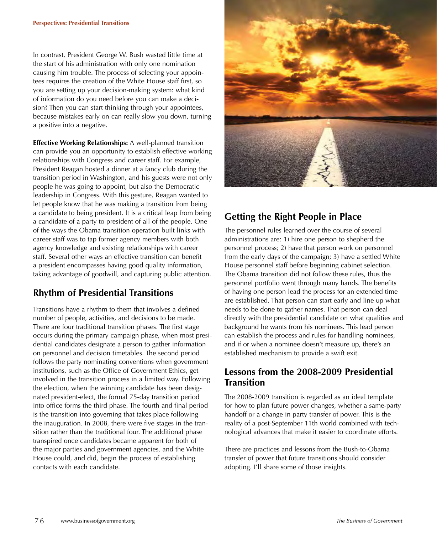In contrast, President George W. Bush wasted little time at the start of his administration with only one nomination causing him trouble. The process of selecting your appointees requires the creation of the White House staff first, so you are setting up your decision-making system: what kind of information do you need before you can make a decision? Then you can start thinking through your appointees, because mistakes early on can really slow you down, turning a positive into a negative.

**Effective Working Relationships:** A well-planned transition can provide you an opportunity to establish effective working relationships with Congress and career staff. For example, President Reagan hosted a dinner at a fancy club during the transition period in Washington, and his guests were not only people he was going to appoint, but also the Democratic leadership in Congress. With this gesture, Reagan wanted to let people know that he was making a transition from being a candidate to being president. It is a critical leap from being a candidate of a party to president of all of the people. One of the ways the Obama transition operation built links with career staff was to tap former agency members with both agency knowledge and existing relationships with career staff. Several other ways an effective transition can benefit a president encompasses having good quality information, taking advantage of goodwill, and capturing public attention.

# **Rhythm of Presidential Transitions**

Transitions have a rhythm to them that involves a defined number of people, activities, and decisions to be made. There are four traditional transition phases. The first stage occurs during the primary campaign phase, when most presidential candidates designate a person to gather information on personnel and decision timetables. The second period follows the party nominating conventions when government institutions, such as the Office of Government Ethics, get involved in the transition process in a limited way. Following the election, when the winning candidate has been designated president-elect, the formal 75-day transition period into office forms the third phase. The fourth and final period is the transition into governing that takes place following the inauguration. In 2008, there were five stages in the transition rather than the traditional four. The additional phase transpired once candidates became apparent for both of the major parties and government agencies, and the White House could, and did, begin the process of establishing contacts with each candidate.



# **Getting the Right People in Place**

The personnel rules learned over the course of several administrations are: 1) hire one person to shepherd the personnel process; 2) have that person work on personnel from the early days of the campaign; 3) have a settled White House personnel staff before beginning cabinet selection. The Obama transition did not follow these rules, thus the personnel portfolio went through many hands. The benefits of having one person lead the process for an extended time are established. That person can start early and line up what needs to be done to gather names. That person can deal directly with the presidential candidate on what qualities and background he wants from his nominees. This lead person can establish the process and rules for handling nominees, and if or when a nominee doesn't measure up, there's an established mechanism to provide a swift exit.

# **Lessons from the 2008-2009 Presidential Transition**

The 2008-2009 transition is regarded as an ideal template for how to plan future power changes, whether a same-party handoff or a change in party transfer of power. This is the reality of a post-September 11th world combined with technological advances that make it easier to coordinate efforts.

There are practices and lessons from the Bush-to-Obama transfer of power that future transitions should consider adopting. I'll share some of those insights.